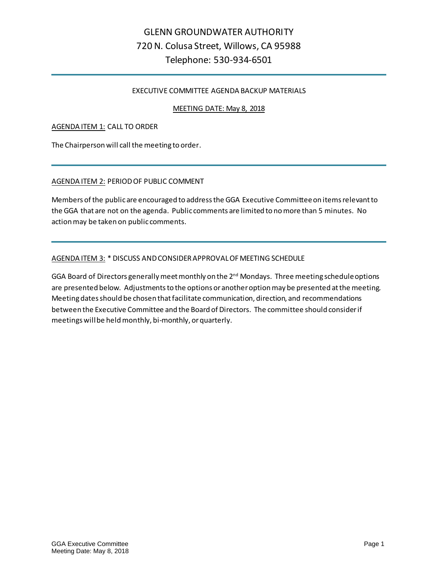#### EXECUTIVE COMMITTEE AGENDA BACKUP MATERIALS

#### MEETING DATE: May 8, 2018

#### AGENDA ITEM 1: CALL TO ORDER

The Chairperson will call the meeting to order.

#### AGENDA ITEM 2: PERIOD OF PUBLIC COMMENT

Members of the public are encouraged to address the GGA Executive Committeeon items relevant to the GGA that are not on the agenda. Public comments are limited to no more than 5 minutes. No action may be taken on public comments.

#### AGENDA ITEM 3: \* DISCUSS AND CONSIDER APPROVAL OF MEETING SCHEDULE

GGA Board of Directors generally meet monthly on the 2<sup>nd</sup> Mondays. Three meeting schedule options are presented below. Adjustments to the options or another option may be presented at the meeting. Meeting dates should be chosen that facilitate communication, direction, and recommendations between the Executive Committee and the Board of Directors. The committee should consider if meetings will be held monthly, bi-monthly, or quarterly.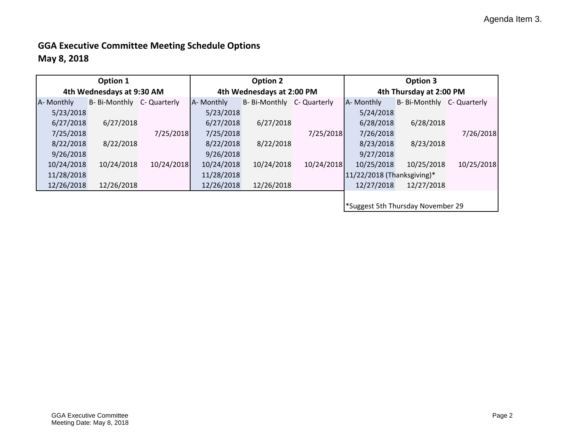# **GGA Executive Committee Meeting Schedule Options**

## **May 8, 2018**

| Option 1                  |                            |            | Option 2                  |                            |            | Option 3                          |                            |            |  |
|---------------------------|----------------------------|------------|---------------------------|----------------------------|------------|-----------------------------------|----------------------------|------------|--|
| 4th Wednesdays at 9:30 AM |                            |            | 4th Wednesdays at 2:00 PM |                            |            | 4th Thursday at 2:00 PM           |                            |            |  |
| A- Monthly                | B- Bi-Monthly C- Quarterly |            | A- Monthly                | B- Bi-Monthly C- Quarterly |            | A- Monthly                        | B- Bi-Monthly C- Quarterly |            |  |
| 5/23/2018                 |                            |            | 5/23/2018                 |                            |            | 5/24/2018                         |                            |            |  |
| 6/27/2018                 | 6/27/2018                  |            | 6/27/2018                 | 6/27/2018                  |            | 6/28/2018                         | 6/28/2018                  |            |  |
| 7/25/2018                 |                            | 7/25/2018  | 7/25/2018                 |                            | 7/25/2018  | 7/26/2018                         |                            | 7/26/2018  |  |
| 8/22/2018                 | 8/22/2018                  |            | 8/22/2018                 | 8/22/2018                  |            | 8/23/2018                         | 8/23/2018                  |            |  |
| 9/26/2018                 |                            |            | 9/26/2018                 |                            |            | 9/27/2018                         |                            |            |  |
| 10/24/2018                | 10/24/2018                 | 10/24/2018 | 10/24/2018                | 10/24/2018                 | 10/24/2018 | 10/25/2018                        | 10/25/2018                 | 10/25/2018 |  |
| 11/28/2018                |                            |            | 11/28/2018                |                            |            | $11/22/2018$ (Thanksgiving)*      |                            |            |  |
| 12/26/2018                | 12/26/2018                 |            | 12/26/2018                | 12/26/2018                 |            | 12/27/2018                        | 12/27/2018                 |            |  |
|                           |                            |            |                           |                            |            |                                   |                            |            |  |
|                           |                            |            |                           |                            |            | *Suggest 5th Thursday November 29 |                            |            |  |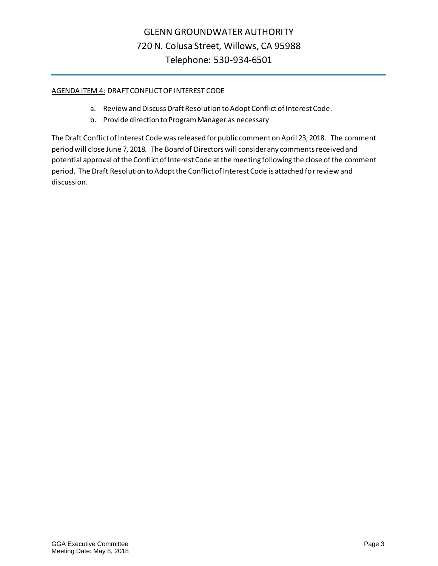#### AGENDA ITEM 4: DRAFT CONFLICT OF INTEREST CODE

- a. Review and Discuss Draft Resolution to Adopt Conflict of Interest Code.
- b. Provide direction to Program Manager as necessary

The Draft Conflict of Interest Code was released for public comment on April 23, 2018. The comment period will close June 7, 2018. The Board of Directors will consider any comments received and potential approval of the Conflict of Interest Code at the meeting following the close of the comment period. The Draft Resolution to Adopt the Conflict of Interest Code is attached for review and discussion.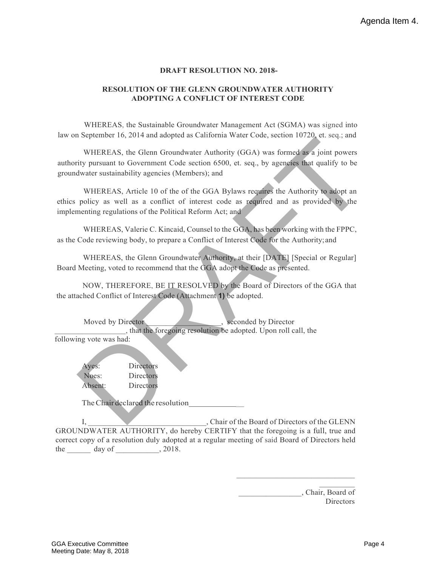#### **DRAFT RESOLUTION NO. 2018-**

#### **RESOLUTION OF THE GLENN GROUNDWATER AUTHORITY ADOPTING A CONFLICT OF INTEREST CODE**

WHEREAS, the Sustainable Groundwater Management Act (SGMA) was signed into law on September 16, 2014 and adopted as California Water Code, section 10720, et. seq.; and

WHEREAS, the Glenn Groundwater Authority (GGA) was formed as a joint powers authority pursuant to Government Code section 6500, et. seq., by agencies that qualify to be groundwater sustainability agencies (Members); and n september 16, 2014 and adopted as California Water Code, section 10/20, et. seq.; and<br>
WHEREAS, the Glorment Code section 6500, et. seq., by agencies that qualify to be<br>
mitty pursuant to Government Code section 6500, et

WHEREAS, Article 10 of the of the GGA Bylaws requires the Authority to adopt an ethics policy as well as a conflict of interest code as required and as provided by the implementing regulations of the Political Reform Act; and

WHEREAS, Valerie C. Kincaid, Counsel to the GGA, has been working with the FPPC, as the Code reviewing body, to prepare a Conflict of Interest Code for the Authority;and

WHEREAS, the Glenn Groundwater Authority, at their [DATE] [Special or Regular] Board Meeting, voted to recommend that the GGA adopt the Code as presented.

NOW, THEREFORE, BE IT RESOLVED by the Board of Directors of the GGA that the attached Conflict of Interest Code (Attachment **1)** be adopted.

| Moved by Director       | seconded by Director                                          |
|-------------------------|---------------------------------------------------------------|
|                         | that the foregoing resolution be adopted. Upon roll call, the |
| following vote was had: |                                                               |

Ayes: Directors Noes: Directors Absent: Directors

TheChair declared the resolution \_

I, Chair of the Board of Directors of the GLENN GROUNDWATER AUTHORITY, do hereby CERTIFY that the foregoing is a full, true and correct copy of a resolution duly adopted at a regular meeting of said Board of Directors held the  $\_\_\_\_$  day of  $\_\_\_\_$ , 2018.

> \_\_\_\_\_\_\_\_\_\_\_\_\_\_\_\_, Chair, Board of **Directors**

 $\overline{\phantom{a}}$  . The set of  $\overline{\phantom{a}}$ 

 $\overline{\phantom{a}}$  , where  $\overline{\phantom{a}}$  , where  $\overline{\phantom{a}}$  , where  $\overline{\phantom{a}}$  , where  $\overline{\phantom{a}}$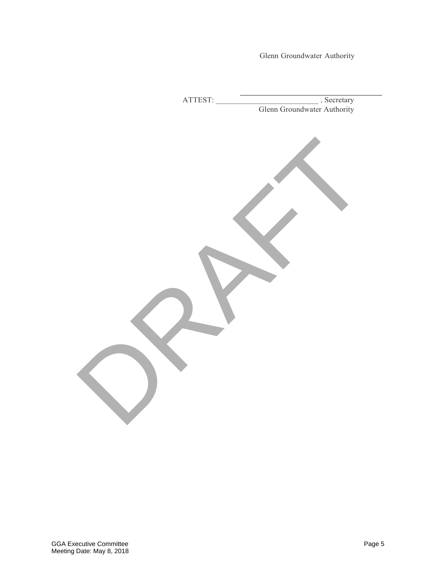Glenn Groundwater Authority

| ATTEST: |                                          |
|---------|------------------------------------------|
|         | Secretary<br>Glenn Groundwater Authority |
|         |                                          |
|         |                                          |
|         |                                          |
|         |                                          |
|         |                                          |
|         |                                          |
|         |                                          |
|         |                                          |
|         |                                          |
|         |                                          |
|         |                                          |
|         |                                          |
|         |                                          |
|         |                                          |
|         |                                          |
|         |                                          |
|         |                                          |
|         |                                          |
|         |                                          |
|         |                                          |
|         |                                          |
|         |                                          |
|         |                                          |
|         |                                          |
|         |                                          |
|         |                                          |
|         |                                          |
|         |                                          |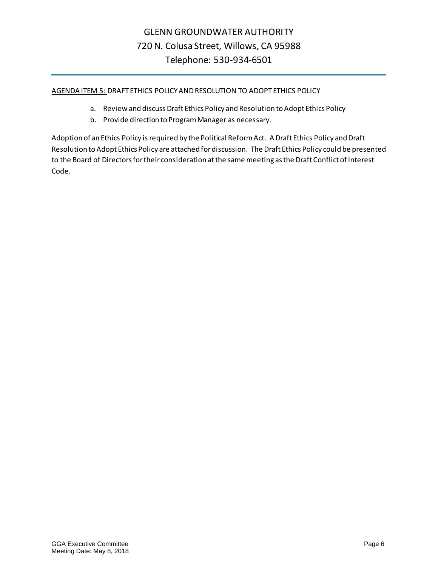AGENDA ITEM 5: DRAFT ETHICS POLICY AND RESOLUTION TO ADOPT ETHICS POLICY

- a. Review and discuss Draft Ethics Policy and Resolution to Adopt Ethics Policy
- b. Provide direction to Program Manager as necessary.

Adoption of an Ethics Policy is required by the Political Reform Act. A Draft Ethics Policy and Draft Resolution to Adopt Ethics Policy are attached for discussion. The Draft Ethics Policy could be presented to the Board of Directors for their consideration at the same meeting as the Draft Conflict of Interest Code.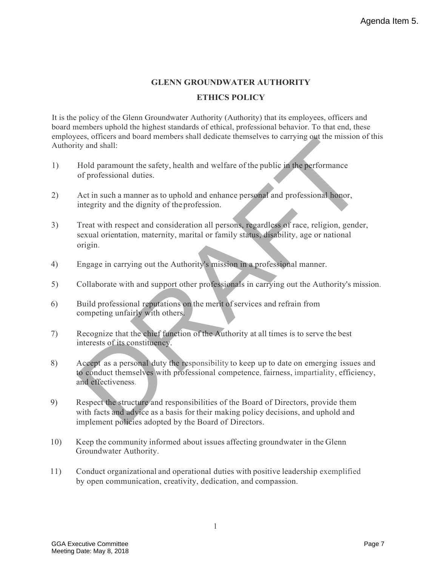## **GLENN GROUNDWATER AUTHORITY ETHICS POLICY**

It is the policy of the Glenn Groundwater Authority (Authority) that its employees, officers and board members uphold the highest standards of ethical, professional behavior. To that end, these employees, officers and board members shall dedicate themselves to carrying out the mission of this Authority and shall:

- 1) Hold paramount the safety, health and welfare of the public in the performance of professional duties.
- 2) Act in such a manner as to uphold and enhance personal and professional honor, integrity and the dignity of the profession.
- 3) Treat with respect and consideration all persons, regardless of race, religion, gender, sexual orientation, maternity, marital or family status, disability, age or national origin. cese, officers and board members shall dedicate themselves to carrying out the mission of<br>
ity and shall:<br>
The such a manner as to uphold and enhance personal and professional honor,<br>
Act in such a manner as to uphold and
- 4) Engage in carrying out the Authority's mission in a professional manner.
- 5) Collaborate with and support other professionals in carrying out the Authority's mission.
- 6) Build professional reputations on the merit ofservices and refrain from competing unfairly with others.
- 7) Recognize that the chief function of the Authority at all times is to serve the best interests of its constituency.
- 8) Accept as a personal duty the responsibility to keep up to date on emerging issues and to conduct themselves with professional competence, fairness, impartiality, efficiency, and effectiveness.
- 9) Respect the structure and responsibilities of the Board of Directors, provide them with facts and advice as a basis for their making policy decisions, and uphold and implement policies adopted by the Board of Directors.
- 10) Keep the community informed about issues affecting groundwater in the Glenn Groundwater Authority.
- 11) Conduct organizational and operational duties with positive leadership exemplified by open communication, creativity, dedication, and compassion.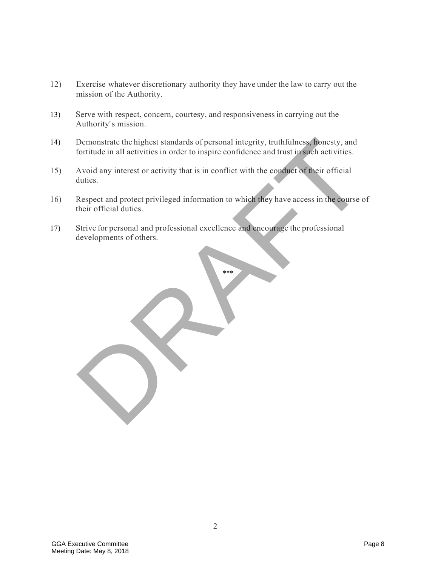- 12) Exercise whatever discretionary authority they have under the law to carry out the mission of the Authority.
- 13) Serve with respect, concern, courtesy, and responsiveness in carrying out the Authority's mission.
- 14) Demonstrate the highest standards of personal integrity, truthfulness, honesty, and fortitude in all activities in order to inspire confidence and trust in such activities.
- 15) Avoid any interest or activity that is in conflict with the conduct of their official duties.
- 16) Respect and protect privileged information to which they have access in the course of their official duties. Demonstrate the highest standards of personal integrity, truthfulness, honesty, and<br>fortitude in all activities in order to inspire confidence and trust in such activities.<br>Avoid any interest or activity that is in conflic

\*\*\*

17) Strive for personal and professional excellence and encourage the professional developments of others.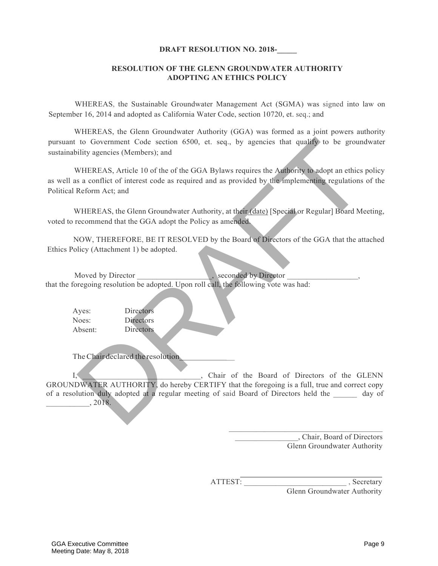#### **DRAFT RESOLUTION NO. 2018-**

#### **RESOLUTION OF THE GLENN GROUNDWATER AUTHORITY ADOPTING AN ETHICS POLICY**

WHEREAS, the Sustainable Groundwater Management Act (SGMA) was signed into law on September 16, 2014 and adopted as California Water Code, section 10720, et. seq.; and

WHEREAS, the Glenn Groundwater Authority (GGA) was formed as a joint powers authority pursuant to Government Code section 6500, et. seq., by agencies that qualify to be groundwater sustainability agencies (Members); and

WHEREAS, Article 10 of the of the GGA Bylaws requires the Authority to adopt an ethics policy as well as a conflict of interest code as required and as provided by the implementing regulations of the Political Reform Act; and

WHEREAS, the Glenn Groundwater Authority, at their (date) [Special or Regular] Board Meeting, voted to recommend that the GGA adopt the Policy as amended.

NOW, THEREFORE, BE IT RESOLVED by the Board of Directors of the GGA that the attached Ethics Policy (Attachment 1) be adopted.

Moved by Director **Exercise 2.** Seconded by Director that the foregoing resolution be adopted. Upon roll call, the following vote was had:

Ayes: Noes: Absent: **Directors Directors** Directors

TheChair declared the resolution \_

I, Chair of the Board of Directors of the GLENN GROUNDWATER AUTHORITY, do hereby CERTIFY that the foregoing is a full, true and correct copy of a resolution duly adopted at a regular meeting of said Board of Directors held the day of \_\_\_\_\_\_\_\_\_\_\_, 2018. to Government Code section 6500, et. seq., by agencies that quality to be ground<br>bility agencies (Members); and<br>bility agencies (Members); and<br>wHEREAS, Article 10 of the of the GGA Bylaws requires the **Authority** to adopt

> \_\_\_\_\_\_\_\_\_\_\_\_\_\_\_\_, Chair, Board of Directors Glenn Groundwater Authority

\_\_\_\_\_\_\_\_\_\_\_\_\_\_\_\_\_\_\_\_\_\_\_\_\_\_\_\_\_\_\_\_\_\_\_\_\_\_\_

ATTEST: Secretary Glenn Groundwater Authority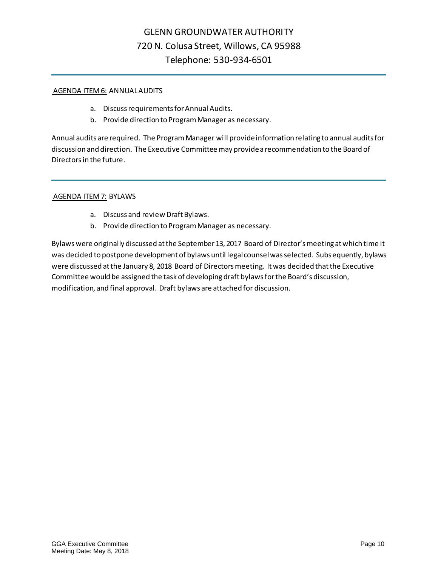#### AGENDA ITEM 6: ANNUAL AUDITS

- a. Discuss requirements for Annual Audits.
- b. Provide direction to Program Manager as necessary.

Annual audits are required. The Program Manager will provide information relating to annual audits for discussion and direction. The Executive Committee may provide a recommendation to the Board of Directors in the future.

#### AGENDA ITEM 7: BYLAWS

- a. Discuss and review Draft Bylaws.
- b. Provide direction to Program Manager as necessary.

Bylaws were originally discussed at the September 13, 2017 Board of Director's meeting at which time it was decided to postpone development of bylaws until legal counsel was selected. Subsequently, bylaws were discussed at the January 8, 2018 Board of Directors meeting. It was decided that the Executive Committee would be assigned the task of developing draft bylaws for the Board's discussion, modification, and final approval. Draft bylaws are attached for discussion.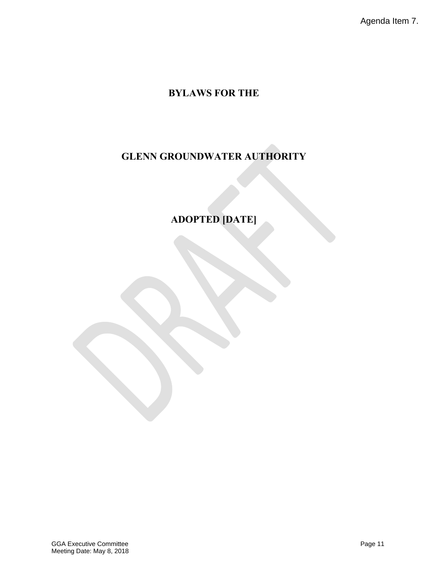Agenda Item 7.

## **BYLAWS FOR THE**

# **GLENN GROUNDWATER AUTHORITY**

**ADOPTED [DATE]**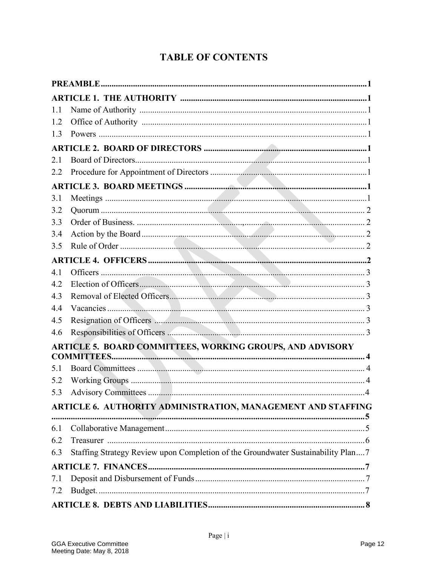# **TABLE OF CONTENTS**

| 1.1 |                                                                                  |  |
|-----|----------------------------------------------------------------------------------|--|
| 1.2 |                                                                                  |  |
| 1.3 |                                                                                  |  |
|     |                                                                                  |  |
| 2.1 |                                                                                  |  |
| 2.2 |                                                                                  |  |
|     |                                                                                  |  |
| 3.1 |                                                                                  |  |
| 3.2 |                                                                                  |  |
| 3.3 |                                                                                  |  |
| 3.4 |                                                                                  |  |
| 3.5 |                                                                                  |  |
|     |                                                                                  |  |
| 4.1 |                                                                                  |  |
| 4.2 |                                                                                  |  |
| 4.3 |                                                                                  |  |
| 4.4 |                                                                                  |  |
| 4.5 |                                                                                  |  |
| 4.6 |                                                                                  |  |
|     | ARTICLE 5. BOARD COMMITTEES, WORKING GROUPS, AND ADVISORY<br><b>COMMITTEES</b>   |  |
| 5.1 |                                                                                  |  |
| 5.2 |                                                                                  |  |
| 5.3 |                                                                                  |  |
|     | ARTICLE 6. AUTHORITY ADMINISTRATION, MANAGEMENT AND STAFFING                     |  |
| 6.1 |                                                                                  |  |
| 6.2 |                                                                                  |  |
| 6.3 | Staffing Strategy Review upon Completion of the Groundwater Sustainability Plan7 |  |
|     |                                                                                  |  |
| 7.1 |                                                                                  |  |
| 7.2 |                                                                                  |  |
|     |                                                                                  |  |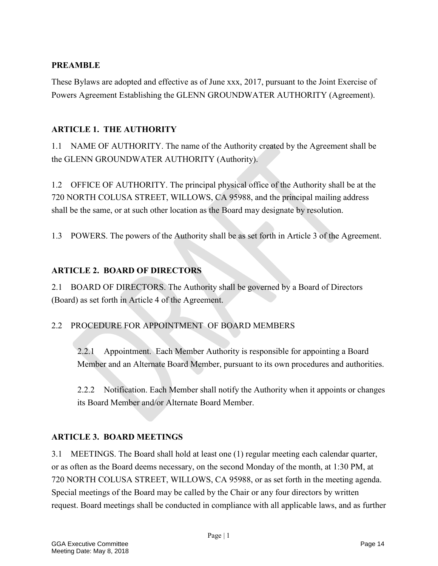### **PREAMBLE**

These Bylaws are adopted and effective as of June xxx, 2017, pursuant to the Joint Exercise of Powers Agreement Establishing the GLENN GROUNDWATER AUTHORITY (Agreement).

### **ARTICLE 1. THE AUTHORITY**

1.1 NAME OF AUTHORITY. The name of the Authority created by the Agreement shall be the GLENN GROUNDWATER AUTHORITY (Authority).

1.2 OFFICE OF AUTHORITY. The principal physical office of the Authority shall be at the 720 NORTH COLUSA STREET, WILLOWS, CA 95988, and the principal mailing address shall be the same, or at such other location as the Board may designate by resolution.

1.3 POWERS. The powers of the Authority shall be as set forth in Article 3 of the Agreement.

### **ARTICLE 2. BOARD OF DIRECTORS**

2.1 BOARD OF DIRECTORS. The Authority shall be governed by a Board of Directors (Board) as set forth in Article 4 of the Agreement.

## 2.2 PROCEDURE FOR APPOINTMENT OF BOARD MEMBERS

2.2.1 Appointment. Each Member Authority is responsible for appointing a Board Member and an Alternate Board Member, pursuant to its own procedures and authorities.

2.2.2 Notification. Each Member shall notify the Authority when it appoints or changes its Board Member and/or Alternate Board Member.

### **ARTICLE 3. BOARD MEETINGS**

3.1 MEETINGS. The Board shall hold at least one (1) regular meeting each calendar quarter, or as often as the Board deems necessary, on the second Monday of the month, at 1:30 PM, at 720 NORTH COLUSA STREET, WILLOWS, CA 95988, or as set forth in the meeting agenda. Special meetings of the Board may be called by the Chair or any four directors by written request. Board meetings shall be conducted in compliance with all applicable laws, and as further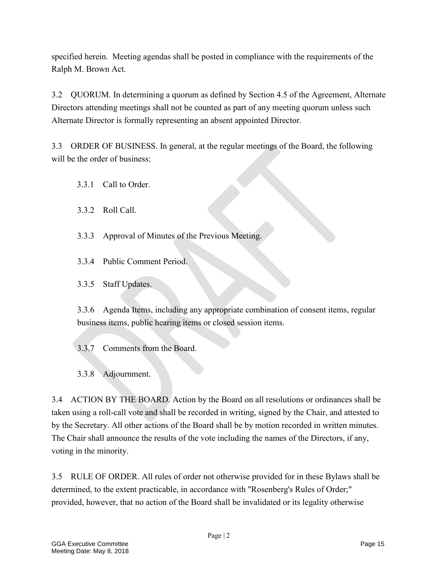specified herein. Meeting agendas shall be posted in compliance with the requirements of the Ralph M. Brown Act.

3.2 QUORUM. In determining a quorum as defined by Section 4.5 of the Agreement, Alternate Directors attending meetings shall not be counted as part of any meeting quorum unless such Alternate Director is formally representing an absent appointed Director.

3.3 ORDER OF BUSINESS. In general, at the regular meetings of the Board, the following will be the order of business:

- 3.3.1 Call to Order.
- 3.3.2 Roll Call.
- 3.3.3 Approval of Minutes of the Previous Meeting.
- 3.3.4 Public Comment Period.
- 3.3.5 Staff Updates.

3.3.6 Agenda Items, including any appropriate combination of consent items, regular business items, public hearing items or closed session items.

3.3.7 Comments from the Board.

3.3.8 Adjournment.

3.4 ACTION BY THE BOARD. Action by the Board on all resolutions or ordinances shall be taken using a roll-call vote and shall be recorded in writing, signed by the Chair, and attested to by the Secretary. All other actions of the Board shall be by motion recorded in written minutes. The Chair shall announce the results of the vote including the names of the Directors, if any, voting in the minority.

3.5 RULE OF ORDER. All rules of order not otherwise provided for in these Bylaws shall be determined, to the extent practicable, in accordance with "Rosenberg's Rules of Order;" provided, however, that no action of the Board shall be invalidated or its legality otherwise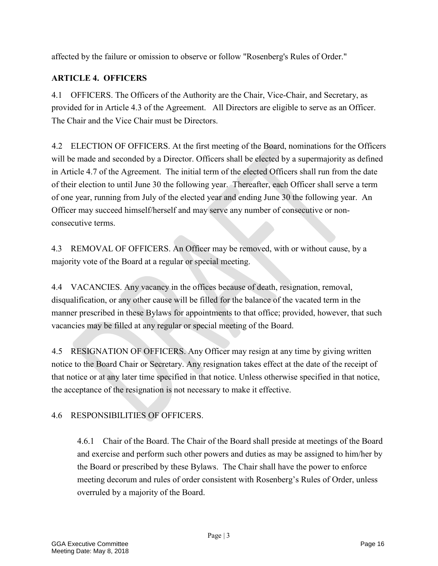affected by the failure or omission to observe or follow "Rosenberg's Rules of Order."

## **ARTICLE 4. OFFICERS**

4.1 OFFICERS. The Officers of the Authority are the Chair, Vice-Chair, and Secretary, as provided for in Article 4.3 of the Agreement. All Directors are eligible to serve as an Officer. The Chair and the Vice Chair must be Directors.

4.2 ELECTION OF OFFICERS. At the first meeting of the Board, nominations for the Officers will be made and seconded by a Director. Officers shall be elected by a supermajority as defined in Article 4.7 of the Agreement. The initial term of the elected Officers shall run from the date of their election to until June 30 the following year. Thereafter, each Officer shall serve a term of one year, running from July of the elected year and ending June 30 the following year. An Officer may succeed himself/herself and may serve any number of consecutive or nonconsecutive terms.

4.3 REMOVAL OF OFFICERS. An Officer may be removed, with or without cause, by a majority vote of the Board at a regular or special meeting.

4.4 VACANCIES. Any vacancy in the offices because of death, resignation, removal, disqualification, or any other cause will be filled for the balance of the vacated term in the manner prescribed in these Bylaws for appointments to that office; provided, however, that such vacancies may be filled at any regular or special meeting of the Board.

4.5 RESIGNATION OF OFFICERS. Any Officer may resign at any time by giving written notice to the Board Chair or Secretary. Any resignation takes effect at the date of the receipt of that notice or at any later time specified in that notice. Unless otherwise specified in that notice, the acceptance of the resignation is not necessary to make it effective.

## 4.6 RESPONSIBILITIES OF OFFICERS.

4.6.1 Chair of the Board. The Chair of the Board shall preside at meetings of the Board and exercise and perform such other powers and duties as may be assigned to him/her by the Board or prescribed by these Bylaws. The Chair shall have the power to enforce meeting decorum and rules of order consistent with Rosenberg's Rules of Order, unless overruled by a majority of the Board.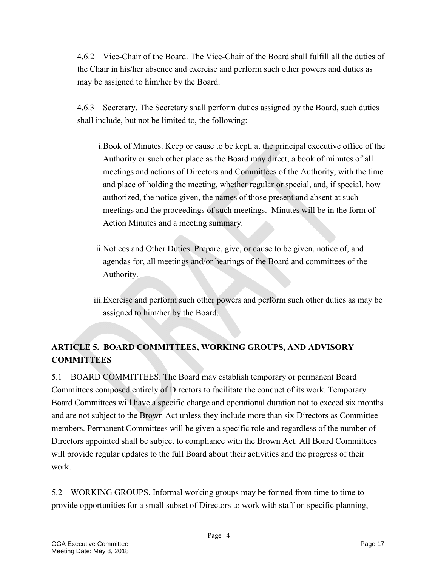4.6.2 Vice-Chair of the Board. The Vice-Chair of the Board shall fulfill all the duties of the Chair in his/her absence and exercise and perform such other powers and duties as may be assigned to him/her by the Board.

4.6.3 Secretary. The Secretary shall perform duties assigned by the Board, such duties shall include, but not be limited to, the following:

i.Book of Minutes. Keep or cause to be kept, at the principal executive office of the Authority or such other place as the Board may direct, a book of minutes of all meetings and actions of Directors and Committees of the Authority, with the time and place of holding the meeting, whether regular or special, and, if special, how authorized, the notice given, the names of those present and absent at such meetings and the proceedings of such meetings. Minutes will be in the form of Action Minutes and a meeting summary.

- ii.Notices and Other Duties. Prepare, give, or cause to be given, notice of, and agendas for, all meetings and/or hearings of the Board and committees of the Authority.
- iii.Exercise and perform such other powers and perform such other duties as may be assigned to him/her by the Board.

## **ARTICLE 5. BOARD COMMITTEES, WORKING GROUPS, AND ADVISORY COMMITTEES**

5.1 BOARD COMMITTEES. The Board may establish temporary or permanent Board Committees composed entirely of Directors to facilitate the conduct of its work. Temporary Board Committees will have a specific charge and operational duration not to exceed six months and are not subject to the Brown Act unless they include more than six Directors as Committee members. Permanent Committees will be given a specific role and regardless of the number of Directors appointed shall be subject to compliance with the Brown Act. All Board Committees will provide regular updates to the full Board about their activities and the progress of their work.

5.2 WORKING GROUPS. Informal working groups may be formed from time to time to provide opportunities for a small subset of Directors to work with staff on specific planning,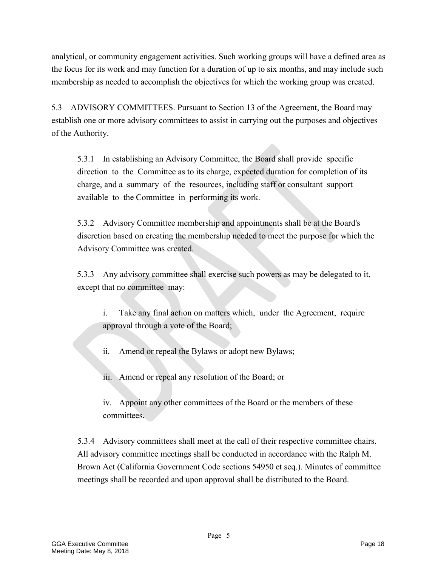analytical, or community engagement activities. Such working groups will have a defined area as the focus for its work and may function for a duration of up to six months, and may include such membership as needed to accomplish the objectives for which the working group was created.

5.3 ADVISORY COMMITTEES. Pursuant to Section 13 of the Agreement, the Board may establish one or more advisory committees to assist in carrying out the purposes and objectives of the Authority.

5.3.1 In establishing an Advisory Committee, the Board shall provide specific direction to the Committee as to its charge, expected duration for completion of its charge, and a summary of the resources, including staff or consultant support available to the Committee in performing its work.

5.3.2 Advisory Committee membership and appointments shall be at the Board's discretion based on creating the membership needed to meet the purpose for which the Advisory Committee was created.

5.3.3 Any advisory committee shall exercise such powers as may be delegated to it, except that no committee may:

- i. Take any final action on matters which, under the Agreement, require approval through a vote of the Board;
- ii. Amend or repeal the Bylaws or adopt new Bylaws;
- iii. Amend or repeal any resolution of the Board; or

iv. Appoint any other committees of the Board or the members of these committees.

5.3.4 Advisory committees shall meet at the call of their respective committee chairs. All advisory committee meetings shall be conducted in accordance with the Ralph M. Brown Act (California Government Code sections 54950 et seq.). Minutes of committee meetings shall be recorded and upon approval shall be distributed to the Board.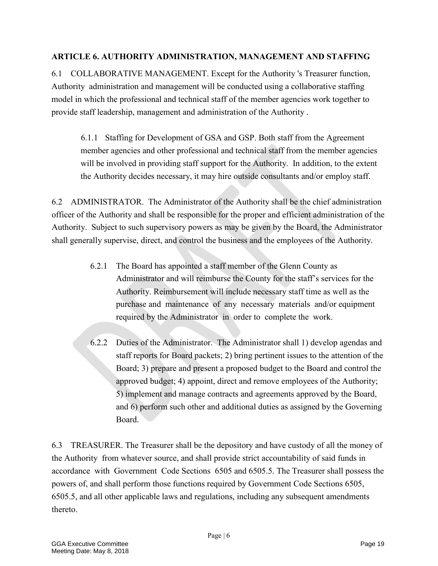### **ARTICLE 6. AUTHORITY ADMINISTRATION, MANAGEMENT AND STAFFING**

6.1 COLLABORATIVE MANAGEMENT. Except for the Authority 's Treasurer function, Authority administration and management will be conducted using a collaborative staffing model in which the professional and technical staff of the member agencies work together to provide staff leadership, management and administration of the Authority .

6.1.1 Staffing for Development of GSA and GSP. Both staff from the Agreement member agencies and other professional and technical staff from the member agencies will be involved in providing staff support for the Authority. In addition, to the extent the Authority decides necessary, it may hire outside consultants and/or employ staff.

6.2 ADMINISTRATOR. The Administrator of the Authority shall be the chief administration officer of the Authority and shall be responsible for the proper and efficient administration of the Authority. Subject to such supervisory powers as may be given by the Board, the Administrator shall generally supervise, direct, and control the business and the employees of the Authority.

- 6.2.1 The Board has appointed a staff member of the Glenn County as Administrator and will reimburse the County for the staff's services for the Authority. Reimbursement will include necessary staff time as well as the purchase and maintenance of any necessary materials and/or equipment required by the Administrator in order to complete the work.
- 6.2.2 Duties of the Administrator. The Administrator shall 1) develop agendas and staff reports for Board packets; 2) bring pertinent issues to the attention of the Board; 3) prepare and present a proposed budget to the Board and control the approved budget; 4) appoint, direct and remove employees of the Authority; 5) implement and manage contracts and agreements approved by the Board, and 6) perform such other and additional duties as assigned by the Governing Board.

6.3 TREASURER. The Treasurer shall be the depository and have custody of all the money of the Authority from whatever source, and shall provide strict accountability of said funds in accordance with Government Code Sections 6505 and 6505.5. The Treasurer shall possess the powers of, and shall perform those functions required by Government Code Sections 6505, 6505.5, and all other applicable laws and regulations, including any subsequent amendments thereto.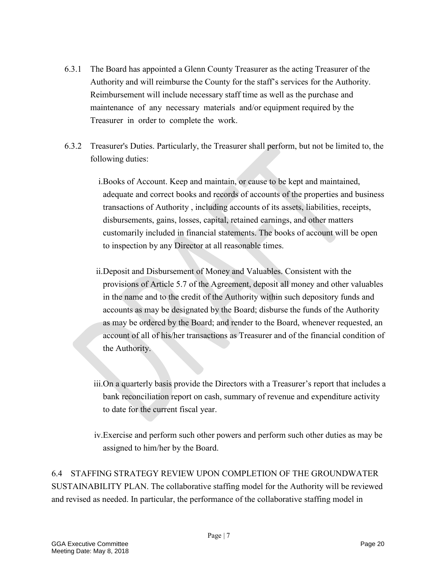- 6.3.1 The Board has appointed a Glenn County Treasurer as the acting Treasurer of the Authority and will reimburse the County for the staff's services for the Authority. Reimbursement will include necessary staff time as well as the purchase and maintenance of any necessary materials and/or equipment required by the Treasurer in order to complete the work.
- 6.3.2 Treasurer's Duties. Particularly, the Treasurer shall perform, but not be limited to, the following duties:
	- i.Books of Account. Keep and maintain, or cause to be kept and maintained, adequate and correct books and records of accounts of the properties and business transactions of Authority , including accounts of its assets, liabilities, receipts, disbursements, gains, losses, capital, retained earnings, and other matters customarily included in financial statements. The books of account will be open to inspection by any Director at all reasonable times.
	- ii.Deposit and Disbursement of Money and Valuables. Consistent with the provisions of Article 5.7 of the Agreement, deposit all money and other valuables in the name and to the credit of the Authority within such depository funds and accounts as may be designated by the Board; disburse the funds of the Authority as may be ordered by the Board; and render to the Board, whenever requested, an account of all of his/her transactions as Treasurer and of the financial condition of the Authority.
	- iii.On a quarterly basis provide the Directors with a Treasurer's report that includes a bank reconciliation report on cash, summary of revenue and expenditure activity to date for the current fiscal year.
	- iv.Exercise and perform such other powers and perform such other duties as may be assigned to him/her by the Board.

6.4 STAFFING STRATEGY REVIEW UPON COMPLETION OF THE GROUNDWATER SUSTAINABILITY PLAN. The collaborative staffing model for the Authority will be reviewed and revised as needed. In particular, the performance of the collaborative staffing model in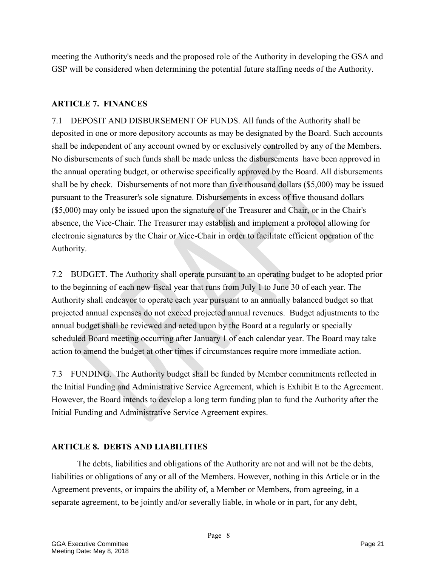meeting the Authority's needs and the proposed role of the Authority in developing the GSA and GSP will be considered when determining the potential future staffing needs of the Authority.

### **ARTICLE 7. FINANCES**

7.1 DEPOSIT AND DISBURSEMENT OF FUNDS. All funds of the Authority shall be deposited in one or more depository accounts as may be designated by the Board. Such accounts shall be independent of any account owned by or exclusively controlled by any of the Members. No disbursements of such funds shall be made unless the disbursements have been approved in the annual operating budget, or otherwise specifically approved by the Board. All disbursements shall be by check. Disbursements of not more than five thousand dollars (\$5,000) may be issued pursuant to the Treasurer's sole signature. Disbursements in excess of five thousand dollars (\$5,000) may only be issued upon the signature of the Treasurer and Chair, or in the Chair's absence, the Vice-Chair. The Treasurer may establish and implement a protocol allowing for electronic signatures by the Chair or Vice-Chair in order to facilitate efficient operation of the Authority.

7.2 BUDGET. The Authority shall operate pursuant to an operating budget to be adopted prior to the beginning of each new fiscal year that runs from July 1 to June 30 of each year. The Authority shall endeavor to operate each year pursuant to an annually balanced budget so that projected annual expenses do not exceed projected annual revenues. Budget adjustments to the annual budget shall be reviewed and acted upon by the Board at a regularly or specially scheduled Board meeting occurring after January 1 of each calendar year. The Board may take action to amend the budget at other times if circumstances require more immediate action.

7.3 FUNDING. The Authority budget shall be funded by Member commitments reflected in the Initial Funding and Administrative Service Agreement, which is Exhibit E to the Agreement. However, the Board intends to develop a long term funding plan to fund the Authority after the Initial Funding and Administrative Service Agreement expires.

### **ARTICLE 8. DEBTS AND LIABILITIES**

The debts, liabilities and obligations of the Authority are not and will not be the debts, liabilities or obligations of any or all of the Members. However, nothing in this Article or in the Agreement prevents, or impairs the ability of, a Member or Members, from agreeing, in a separate agreement, to be jointly and/or severally liable, in whole or in part, for any debt,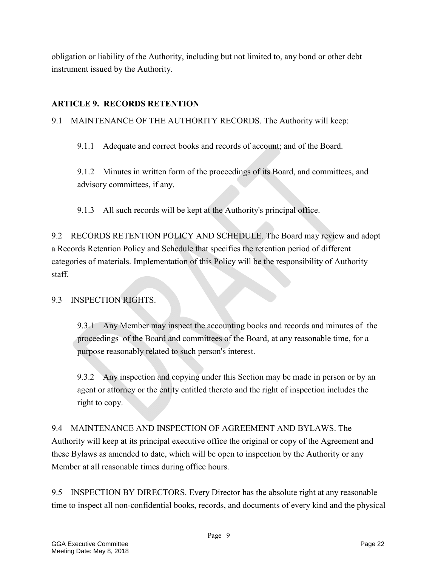obligation or liability of the Authority, including but not limited to, any bond or other debt instrument issued by the Authority.

## **ARTICLE 9. RECORDS RETENTION**

9.1 MAINTENANCE OF THE AUTHORITY RECORDS. The Authority will keep:

9.1.1 Adequate and correct books and records of account; and of the Board.

9.1.2 Minutes in written form of the proceedings of its Board, and committees, and advisory committees, if any.

9.1.3 All such records will be kept at the Authority's principal office.

9.2 RECORDS RETENTION POLICY AND SCHEDULE. The Board may review and adopt a Records Retention Policy and Schedule that specifies the retention period of different categories of materials. Implementation of this Policy will be the responsibility of Authority staff.

## 9.3 INSPECTION RIGHTS.

9.3.1 Any Member may inspect the accounting books and records and minutes of the proceedings of the Board and committees of the Board, at any reasonable time, for a purpose reasonably related to such person's interest.

9.3.2 Any inspection and copying under this Section may be made in person or by an agent or attorney or the entity entitled thereto and the right of inspection includes the right to copy.

9.4 MAINTENANCE AND INSPECTION OF AGREEMENT AND BYLAWS. The Authority will keep at its principal executive office the original or copy of the Agreement and these Bylaws as amended to date, which will be open to inspection by the Authority or any Member at all reasonable times during office hours.

9.5 INSPECTION BY DIRECTORS. Every Director has the absolute right at any reasonable time to inspect all non-confidential books, records, and documents of every kind and the physical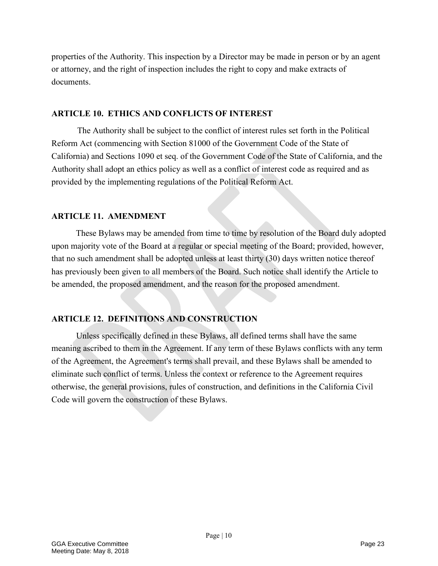properties of the Authority. This inspection by a Director may be made in person or by an agent or attorney, and the right of inspection includes the right to copy and make extracts of documents.

#### **ARTICLE 10. ETHICS AND CONFLICTS OF INTEREST**

The Authority shall be subject to the conflict of interest rules set forth in the Political Reform Act (commencing with Section 81000 of the Government Code of the State of California) and Sections 1090 et seq. of the Government Code of the State of California, and the Authority shall adopt an ethics policy as well as a conflict of interest code as required and as provided by the implementing regulations of the Political Reform Act.

#### **ARTICLE 11. AMENDMENT**

These Bylaws may be amended from time to time by resolution of the Board duly adopted upon majority vote of the Board at a regular or special meeting of the Board; provided, however, that no such amendment shall be adopted unless at least thirty (30) days written notice thereof has previously been given to all members of the Board. Such notice shall identify the Article to be amended, the proposed amendment, and the reason for the proposed amendment.

## **ARTICLE 12. DEFINITIONS AND CONSTRUCTION**

Unless specifically defined in these Bylaws, all defined terms shall have the same meaning ascribed to them in the Agreement. If any term of these Bylaws conflicts with any term of the Agreement, the Agreement's terms shall prevail, and these Bylaws shall be amended to eliminate such conflict of terms. Unless the context or reference to the Agreement requires otherwise, the general provisions, rules of construction, and definitions in the California Civil Code will govern the construction of these Bylaws.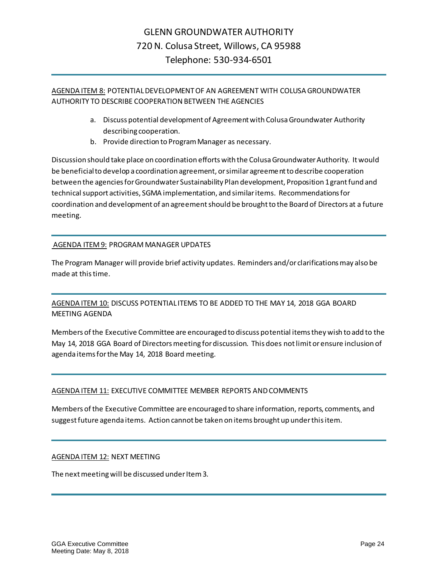### AGENDA ITEM 8: POTENTIAL DEVELOPMENT OF AN AGREEMENT WITH COLUSA GROUNDWATER AUTHORITY TO DESCRIBE COOPERATION BETWEEN THE AGENCIES

- a. Discuss potential development of Agreement with Colusa Groundwater Authority describing cooperation.
- b. Provide direction to Program Manager as necessary.

Discussion should take place on coordination efforts with the Colusa Groundwater Authority. It would be beneficial to develop a coordination agreement, or similar agreement to describe cooperation between the agencies for Groundwater Sustainability Plan development, Proposition 1 grant fund and technical support activities, SGMA implementation, and similar items. Recommendations for coordination and development of an agreement should be brought to the Board of Directors at a future meeting.

### AGENDA ITEM 9: PROGRAM MANAGER UPDATES

The Program Manager will provide brief activity updates. Reminders and/or clarifications may also be made at this time.

### AGENDA ITEM 10: DISCUSS POTENTIAL ITEMS TO BE ADDED TO THE MAY 14, 2018 GGA BOARD MEETING AGENDA

Members of the Executive Committee are encouraged to discuss potential items they wish to add to the May 14, 2018 GGA Board of Directors meeting for discussion. This does not limit or ensure inclusion of agenda items for the May 14, 2018 Board meeting.

#### AGENDA ITEM 11: EXECUTIVE COMMITTEE MEMBER REPORTS AND COMMENTS

Members of the Executive Committee are encouraged to share information, reports, comments, and suggestfuture agenda items. Action cannot be taken on items brought up under this item.

#### AGENDA ITEM 12: NEXT MEETING

The next meeting will be discussed under Item 3.